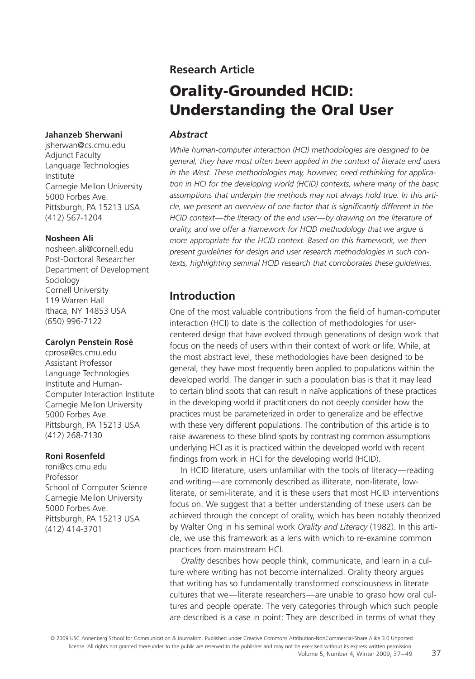#### **Jahanzeb Sherwani**

jsherwan@cs.cmu.edu Adjunct Faculty Language Technologies Institute Carnegie Mellon University 5000 Forbes Ave. Pittsburgh, PA 15213 USA (412) 567-1204

#### **Nosheen Ali**

nosheen.ali@cornell.edu Post-Doctoral Researcher Department of Development Sociology Cornell University 119 Warren Hall Ithaca, NY 14853 USA (650) 996-7122

#### **Carolyn Penstein Rosé**

cprose@cs.cmu.edu Assistant Professor Language Technologies Institute and Human-Computer Interaction Institute Carnegie Mellon University 5000 Forbes Ave. Pittsburgh, PA 15213 USA (412) 268-7130

#### **Roni Rosenfeld**

roni@cs.cmu.edu Professor School of Computer Science Carnegie Mellon University 5000 Forbes Ave. Pittsburgh, PA 15213 USA (412) 414-3701

# **Research Article**

# **Orality-Grounded HCID: Understanding the Oral User**

# *Abstract*

*While human-computer interaction (HCI) methodologies are designed to be general, they have most often been applied in the context of literate end users in the West. These methodologies may, however, need rethinking for application in HCI for the developing world (HCID) contexts, where many of the basic assumptions that underpin the methods may not always hold true. In this arti*cle, we present an overview of one factor that is significantly different in the *HCID context—the literacy of the end user—by drawing on the literature of orality, and we offer a framework for HCID methodology that we argue is more appropriate for the HCID context. Based on this framework, we then present guidelines for design and user research methodologies in such contexts, highlighting seminal HCID research that corroborates these guidelines.*

# **Introduction**

One of the most valuable contributions from the field of human-computer interaction (HCI) to date is the collection of methodologies for usercentered design that have evolved through generations of design work that focus on the needs of users within their context of work or life. While, at the most abstract level, these methodologies have been designed to be general, they have most frequently been applied to populations within the developed world. The danger in such a population bias is that it may lead to certain blind spots that can result in naïve applications of these practices in the developing world if practitioners do not deeply consider how the practices must be parameterized in order to generalize and be effective with these very different populations. The contribution of this article is to raise awareness to these blind spots by contrasting common assumptions underlying HCI as it is practiced within the developed world with recent findings from work in HCI for the developing world (HCID).

In HCID literature, users unfamiliar with the tools of literacy—reading and writing—are commonly described as illiterate, non-literate, lowliterate, or semi-literate, and it is these users that most HCID interventions focus on. We suggest that a better understanding of these users can be achieved through the concept of orality, which has been notably theorized by Walter Ong in his seminal work *Orality and Literacy* (1982). In this article, we use this framework as a lens with which to re-examine common practices from mainstream HCI.

*Orality* describes how people think, communicate, and learn in a culture where writing has not become internalized. Orality theory argues that writing has so fundamentally transformed consciousness in literate cultures that we—literate researchers—are unable to grasp how oral cultures and people operate. The very categories through which such people are described is a case in point: They are described in terms of what they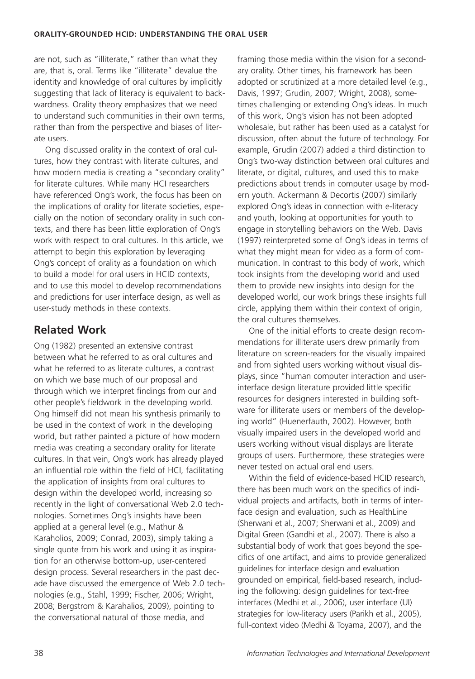are not, such as "illiterate," rather than what they are, that is, oral. Terms like "illiterate" devalue the identity and knowledge of oral cultures by implicitly suggesting that lack of literacy is equivalent to backwardness. Orality theory emphasizes that we need to understand such communities in their own terms, rather than from the perspective and biases of literate users.

Ong discussed orality in the context of oral cultures, how they contrast with literate cultures, and how modern media is creating a "secondary orality" for literate cultures. While many HCI researchers have referenced Ong's work, the focus has been on the implications of orality for literate societies, especially on the notion of secondary orality in such contexts, and there has been little exploration of Ong's work with respect to oral cultures. In this article, we attempt to begin this exploration by leveraging Ong's concept of orality as a foundation on which to build a model for oral users in HCID contexts, and to use this model to develop recommendations and predictions for user interface design, as well as user-study methods in these contexts.

# **Related Work**

Ong (1982) presented an extensive contrast between what he referred to as oral cultures and what he referred to as literate cultures, a contrast on which we base much of our proposal and through which we interpret findings from our and other people's fieldwork in the developing world. Ong himself did not mean his synthesis primarily to be used in the context of work in the developing world, but rather painted a picture of how modern media was creating a secondary orality for literate cultures. In that vein, Ong's work has already played an influential role within the field of HCI, facilitating the application of insights from oral cultures to design within the developed world, increasing so recently in the light of conversational Web 2.0 technologies. Sometimes Ong's insights have been applied at a general level (e.g., Mathur & Karaholios, 2009; Conrad, 2003), simply taking a single quote from his work and using it as inspiration for an otherwise bottom-up, user-centered design process. Several researchers in the past decade have discussed the emergence of Web 2.0 technologies (e.g., Stahl, 1999; Fischer, 2006; Wright, 2008; Bergstrom & Karahalios, 2009), pointing to the conversational natural of those media, and

framing those media within the vision for a secondary orality. Other times, his framework has been adopted or scrutinized at a more detailed level (e.g., Davis, 1997; Grudin, 2007; Wright, 2008), sometimes challenging or extending Ong's ideas. In much of this work, Ong's vision has not been adopted wholesale, but rather has been used as a catalyst for discussion, often about the future of technology. For example, Grudin (2007) added a third distinction to Ong's two-way distinction between oral cultures and literate, or digital, cultures, and used this to make predictions about trends in computer usage by modern youth. Ackermann & Decortis (2007) similarly explored Ong's ideas in connection with e-literacy and youth, looking at opportunities for youth to engage in storytelling behaviors on the Web. Davis (1997) reinterpreted some of Ong's ideas in terms of what they might mean for video as a form of communication. In contrast to this body of work, which took insights from the developing world and used them to provide new insights into design for the developed world, our work brings these insights full circle, applying them within their context of origin, the oral cultures themselves.

One of the initial efforts to create design recommendations for illiterate users drew primarily from literature on screen-readers for the visually impaired and from sighted users working without visual displays, since "human computer interaction and userinterface design literature provided little specific resources for designers interested in building software for illiterate users or members of the developing world" (Huenerfauth, 2002). However, both visually impaired users in the developed world and users working without visual displays are literate groups of users. Furthermore, these strategies were never tested on actual oral end users.

Within the field of evidence-based HCID research, there has been much work on the specifics of individual projects and artifacts, both in terms of interface design and evaluation, such as HealthLine (Sherwani et al., 2007; Sherwani et al., 2009) and Digital Green (Gandhi et al., 2007). There is also a substantial body of work that goes beyond the specifics of one artifact, and aims to provide generalized guidelines for interface design and evaluation grounded on empirical, field-based research, including the following: design guidelines for text-free interfaces (Medhi et al., 2006), user interface (UI) strategies for low-literacy users (Parikh et al., 2005), full-context video (Medhi & Toyama, 2007), and the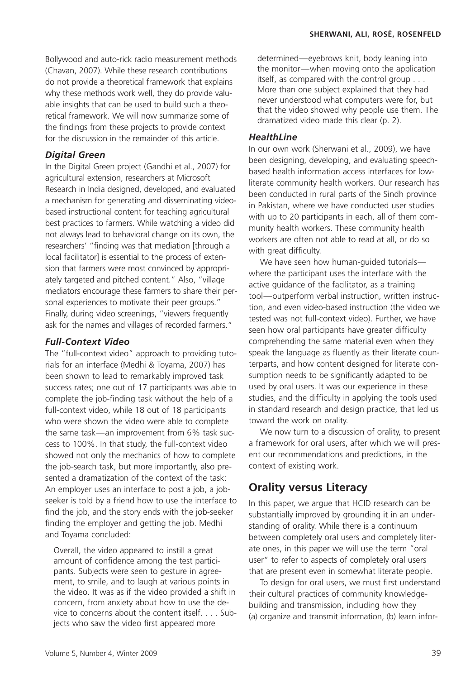Bollywood and auto-rick radio measurement methods (Chavan, 2007). While these research contributions do not provide a theoretical framework that explains why these methods work well, they do provide valuable insights that can be used to build such a theoretical framework. We will now summarize some of the findings from these projects to provide context for the discussion in the remainder of this article.

### *Digital Green*

In the Digital Green project (Gandhi et al., 2007) for agricultural extension, researchers at Microsoft Research in India designed, developed, and evaluated a mechanism for generating and disseminating videobased instructional content for teaching agricultural best practices to farmers. While watching a video did not always lead to behavioral change on its own, the researchers' "finding was that mediation [through a local facilitator] is essential to the process of extension that farmers were most convinced by appropriately targeted and pitched content." Also, "village mediators encourage these farmers to share their personal experiences to motivate their peer groups." Finally, during video screenings, "viewers frequently ask for the names and villages of recorded farmers."

# *Full-Context Video*

The "full-context video" approach to providing tutorials for an interface (Medhi & Toyama, 2007) has been shown to lead to remarkably improved task success rates; one out of 17 participants was able to complete the job-finding task without the help of a full-context video, while 18 out of 18 participants who were shown the video were able to complete the same task—an improvement from 6% task success to 100%. In that study, the full-context video showed not only the mechanics of how to complete the job-search task, but more importantly, also presented a dramatization of the context of the task: An employer uses an interface to post a job, a jobseeker is told by a friend how to use the interface to find the job, and the story ends with the job-seeker finding the employer and getting the job. Medhi and Toyama concluded:

Overall, the video appeared to instill a great amount of confidence among the test participants. Subjects were seen to gesture in agreement, to smile, and to laugh at various points in the video. It was as if the video provided a shift in concern, from anxiety about how to use the device to concerns about the content itself. . . . Subjects who saw the video first appeared more

determined—eyebrows knit, body leaning into the monitor—when moving onto the application itself, as compared with the control group... More than one subject explained that they had never understood what computers were for, but that the video showed why people use them. The dramatized video made this clear (p. 2).

#### *HealthLine*

In our own work (Sherwani et al., 2009), we have been designing, developing, and evaluating speechbased health information access interfaces for lowliterate community health workers. Our research has been conducted in rural parts of the Sindh province in Pakistan, where we have conducted user studies with up to 20 participants in each, all of them community health workers. These community health workers are often not able to read at all, or do so with great difficulty.

We have seen how human-guided tutorials where the participant uses the interface with the active guidance of the facilitator, as a training tool—outperform verbal instruction, written instruction, and even video-based instruction (the video we tested was not full-context video). Further, we have seen how oral participants have greater difficulty comprehending the same material even when they speak the language as fluently as their literate counterparts, and how content designed for literate consumption needs to be significantly adapted to be used by oral users. It was our experience in these studies, and the difficulty in applying the tools used in standard research and design practice, that led us toward the work on orality.

We now turn to a discussion of orality, to present a framework for oral users, after which we will present our recommendations and predictions, in the context of existing work.

# **Orality versus Literacy**

In this paper, we argue that HCID research can be substantially improved by grounding it in an understanding of orality. While there is a continuum between completely oral users and completely literate ones, in this paper we will use the term "oral user" to refer to aspects of completely oral users that are present even in somewhat literate people.

To design for oral users, we must first understand their cultural practices of community knowledgebuilding and transmission, including how they (a) organize and transmit information, (b) learn infor-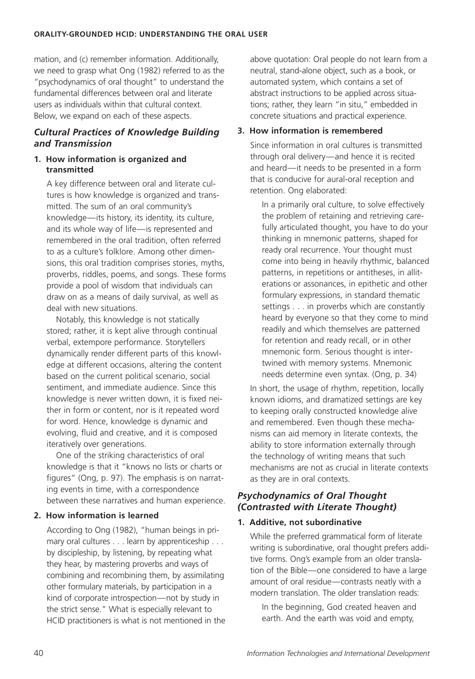mation, and (c) remember information. Additionally, we need to grasp what Ong (1982) referred to as the "psychodynamics of oral thought" to understand the fundamental differences between oral and literate users as individuals within that cultural context. Below, we expand on each of these aspects.

# *Cultural Practices of Knowledge Building and Transmission*

#### **1. How information is organized and transmitted**

A key difference between oral and literate cultures is how knowledge is organized and transmitted. The sum of an oral community's knowledge—its history, its identity, its culture, and its whole way of life—is represented and remembered in the oral tradition, often referred to as a culture's folklore. Among other dimensions, this oral tradition comprises stories, myths, proverbs, riddles, poems, and songs. These forms provide a pool of wisdom that individuals can draw on as a means of daily survival, as well as deal with new situations.

Notably, this knowledge is not statically stored; rather, it is kept alive through continual verbal, extempore performance. Storytellers dynamically render different parts of this knowledge at different occasions, altering the content based on the current political scenario, social sentiment, and immediate audience. Since this knowledge is never written down, it is fixed neither in form or content, nor is it repeated word for word. Hence, knowledge is dynamic and evolving, fluid and creative, and it is composed iteratively over generations.

One of the striking characteristics of oral knowledge is that it "knows no lists or charts or figures" (Ong, p. 97). The emphasis is on narrating events in time, with a correspondence between these narratives and human experience.

#### **2. How information is learned**

According to Ong (1982), "human beings in primary oral cultures . . . learn by apprenticeship . . . by discipleship, by listening, by repeating what they hear, by mastering proverbs and ways of combining and recombining them, by assimilating other formulary materials, by participation in a kind of corporate introspection—not by study in the strict sense." What is especially relevant to HCID practitioners is what is not mentioned in the above quotation: Oral people do not learn from a neutral, stand-alone object, such as a book, or automated system, which contains a set of abstract instructions to be applied across situations; rather, they learn "in situ," embedded in concrete situations and practical experience.

#### **3. How information is remembered**

Since information in oral cultures is transmitted through oral delivery—and hence it is recited and heard—it needs to be presented in a form that is conducive for aural-oral reception and retention. Ong elaborated:

In a primarily oral culture, to solve effectively the problem of retaining and retrieving carefully articulated thought, you have to do your thinking in mnemonic patterns, shaped for ready oral recurrence. Your thought must come into being in heavily rhythmic, balanced patterns, in repetitions or antitheses, in alliterations or assonances, in epithetic and other formulary expressions, in standard thematic settings . . . in proverbs which are constantly heard by everyone so that they come to mind readily and which themselves are patterned for retention and ready recall, or in other mnemonic form. Serious thought is intertwined with memory systems. Mnemonic needs determine even syntax. (Ong, p. 34)

In short, the usage of rhythm, repetition, locally known idioms, and dramatized settings are key to keeping orally constructed knowledge alive and remembered. Even though these mechanisms can aid memory in literate contexts, the ability to store information externally through the technology of writing means that such mechanisms are not as crucial in literate contexts as they are in oral contexts.

# *Psychodynamics of Oral Thought (Contrasted with Literate Thought)*

#### **1. Additive, not subordinative**

While the preferred grammatical form of literate writing is subordinative, oral thought prefers additive forms. Ong's example from an older translation of the Bible—one considered to have a large amount of oral residue—contrasts neatly with a modern translation. The older translation reads:

In the beginning, God created heaven and earth. And the earth was void and empty,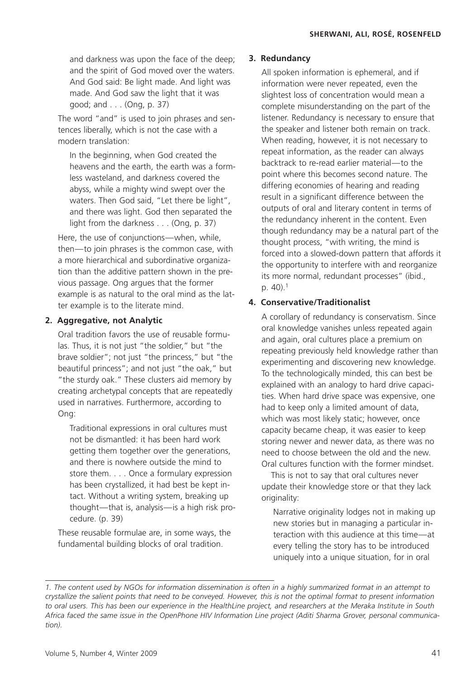and darkness was upon the face of the deep; and the spirit of God moved over the waters. And God said: Be light made. And light was made. And God saw the light that it was good; and... (Ong, p. 37)

The word "and" is used to join phrases and sentences liberally, which is not the case with a modern translation:

In the beginning, when God created the heavens and the earth, the earth was a formless wasteland, and darkness covered the abyss, while a mighty wind swept over the waters. Then God said, "Let there be light", and there was light. God then separated the light from the darkness . . . (Ong, p. 37)

Here, the use of conjunctions—when, while, then—to join phrases is the common case, with a more hierarchical and subordinative organization than the additive pattern shown in the previous passage. Ong argues that the former example is as natural to the oral mind as the latter example is to the literate mind.

#### **2. Aggregative, not Analytic**

Oral tradition favors the use of reusable formulas. Thus, it is not just "the soldier," but "the brave soldier"; not just "the princess," but "the beautiful princess"; and not just "the oak," but "the sturdy oak." These clusters aid memory by creating archetypal concepts that are repeatedly used in narratives. Furthermore, according to Ong:

Traditional expressions in oral cultures must not be dismantled: it has been hard work getting them together over the generations, and there is nowhere outside the mind to store them. . . . Once a formulary expression has been crystallized, it had best be kept intact. Without a writing system, breaking up thought—that is, analysis—is a high risk procedure. (p. 39)

These reusable formulae are, in some ways, the fundamental building blocks of oral tradition.

#### **3. Redundancy**

All spoken information is ephemeral, and if information were never repeated, even the slightest loss of concentration would mean a complete misunderstanding on the part of the listener. Redundancy is necessary to ensure that the speaker and listener both remain on track. When reading, however, it is not necessary to repeat information, as the reader can always backtrack to re-read earlier material—to the point where this becomes second nature. The differing economies of hearing and reading result in a significant difference between the outputs of oral and literary content in terms of the redundancy inherent in the content. Even though redundancy may be a natural part of the thought process, "with writing, the mind is forced into a slowed-down pattern that affords it the opportunity to interfere with and reorganize its more normal, redundant processes" (ibid., p. 40).<sup>1</sup>

# **4. Conservative/Traditionalist**

A corollary of redundancy is conservatism. Since oral knowledge vanishes unless repeated again and again, oral cultures place a premium on repeating previously held knowledge rather than experimenting and discovering new knowledge. To the technologically minded, this can best be explained with an analogy to hard drive capacities. When hard drive space was expensive, one had to keep only a limited amount of data, which was most likely static; however, once capacity became cheap, it was easier to keep storing newer and newer data, as there was no need to choose between the old and the new. Oral cultures function with the former mindset.

This is not to say that oral cultures never update their knowledge store or that they lack originality:

Narrative originality lodges not in making up new stories but in managing a particular interaction with this audience at this time—at every telling the story has to be introduced uniquely into a unique situation, for in oral

*<sup>1.</sup> The content used by NGOs for information dissemination is often in a highly summarized format in an attempt to crystallize the salient points that need to be conveyed. However, this is not the optimal format to present information to oral users. This has been our experience in the HealthLine project, and researchers at the Meraka Institute in South Africa faced the same issue in the OpenPhone HIV Information Line project (Aditi Sharma Grover, personal communication).*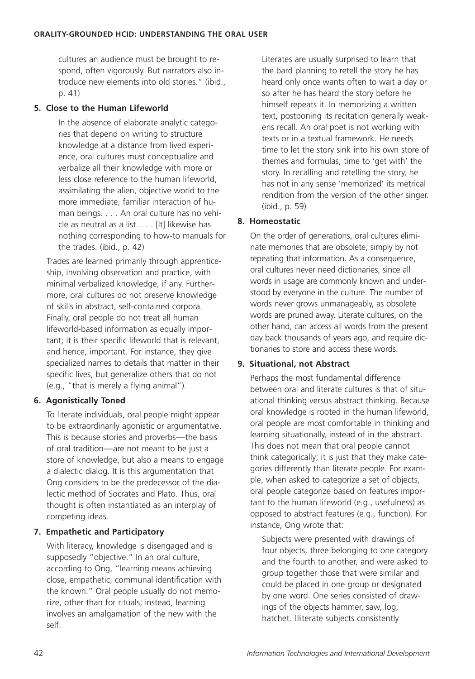cultures an audience must be brought to respond, often vigorously. But narrators also introduce new elements into old stories." (ibid., p. 41)

### **5. Close to the Human Lifeworld**

In the absence of elaborate analytic categories that depend on writing to structure knowledge at a distance from lived experience, oral cultures must conceptualize and verbalize all their knowledge with more or less close reference to the human lifeworld, assimilating the alien, objective world to the more immediate, familiar interaction of human beings. . . . An oral culture has no vehicle as neutral as a list. . . . [It] likewise has nothing corresponding to how-to manuals for the trades. (ibid., p. 42)

Trades are learned primarily through apprenticeship, involving observation and practice, with minimal verbalized knowledge, if any. Furthermore, oral cultures do not preserve knowledge of skills in abstract, self-contained corpora. Finally, oral people do not treat all human lifeworld-based information as equally important; it is their specific lifeworld that is relevant, and hence, important. For instance, they give specialized names to details that matter in their specific lives, but generalize others that do not (e.g., "that is merely a flying animal").

# **6. Agonistically Toned**

To literate individuals, oral people might appear to be extraordinarily agonistic or argumentative. This is because stories and proverbs—the basis of oral tradition—are not meant to be just a store of knowledge, but also a means to engage a dialectic dialog. It is this argumentation that Ong considers to be the predecessor of the dialectic method of Socrates and Plato. Thus, oral thought is often instantiated as an interplay of competing ideas.

# **7. Empathetic and Participatory**

With literacy, knowledge is disengaged and is supposedly "objective." In an oral culture, according to Ong, "learning means achieving close, empathetic, communal identification with the known." Oral people usually do not memorize, other than for rituals; instead, learning involves an amalgamation of the new with the self.

Literates are usually surprised to learn that the bard planning to retell the story he has heard only once wants often to wait a day or so after he has heard the story before he himself repeats it. In memorizing a written text, postponing its recitation generally weakens recall. An oral poet is not working with texts or in a textual framework. He needs time to let the story sink into his own store of themes and formulas, time to 'get with' the story. In recalling and retelling the story, he has not in any sense 'memorized' its metrical rendition from the version of the other singer. (ibid., p. 59)

# **8. Homeostatic**

On the order of generations, oral cultures eliminate memories that are obsolete, simply by not repeating that information. As a consequence, oral cultures never need dictionaries, since all words in usage are commonly known and understood by everyone in the culture. The number of words never grows unmanageably, as obsolete words are pruned away. Literate cultures, on the other hand, can access all words from the present day back thousands of years ago, and require dictionaries to store and access these words.

# **9. Situational, not Abstract**

Perhaps the most fundamental difference between oral and literate cultures is that of situational thinking versus abstract thinking. Because oral knowledge is rooted in the human lifeworld, oral people are most comfortable in thinking and learning situationally, instead of in the abstract. This does not mean that oral people cannot think categorically; it is just that they make categories differently than literate people. For example, when asked to categorize a set of objects, oral people categorize based on features important to the human lifeworld (e.g., usefulness) as opposed to abstract features (e.g., function). For instance, Ong wrote that:

Subjects were presented with drawings of four objects, three belonging to one category and the fourth to another, and were asked to group together those that were similar and could be placed in one group or designated by one word. One series consisted of drawings of the objects hammer, saw, log, hatchet. Illiterate subjects consistently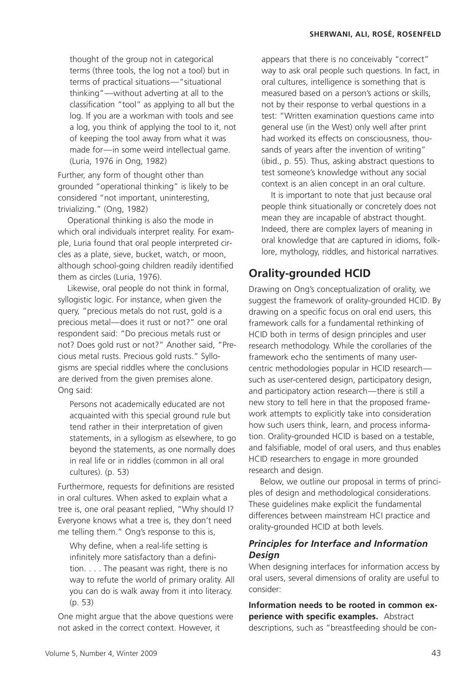thought of the group not in categorical terms (three tools, the log not a tool) but in terms of practical situations—"situational thinking"—without adverting at all to the classification "tool" as applying to all but the log. If you are a workman with tools and see a log, you think of applying the tool to it, not of keeping the tool away from what it was made for—in some weird intellectual game. (Luria, 1976 in Ong, 1982)

Further, any form of thought other than grounded "operational thinking" is likely to be considered "not important, uninteresting, trivializing." (Ong, 1982)

Operational thinking is also the mode in which oral individuals interpret reality. For example, Luria found that oral people interpreted circles as a plate, sieve, bucket, watch, or moon, although school-going children readily identified them as circles (Luria, 1976).

Likewise, oral people do not think in formal, syllogistic logic. For instance, when given the query, "precious metals do not rust, gold is a precious metal—does it rust or not?" one oral respondent said: "Do precious metals rust or not? Does gold rust or not?" Another said, "Precious metal rusts. Precious gold rusts." Syllogisms are special riddles where the conclusions are derived from the given premises alone. Ong said:

Persons not academically educated are not acquainted with this special ground rule but tend rather in their interpretation of given statements, in a syllogism as elsewhere, to go beyond the statements, as one normally does in real life or in riddles (common in all oral cultures). (p. 53)

Furthermore, requests for definitions are resisted in oral cultures. When asked to explain what a tree is, one oral peasant replied, "Why should I? Everyone knows what a tree is, they don't need me telling them." Ong's response to this is,

Why define, when a real-life setting is infinitely more satisfactory than a definition. . . . The peasant was right, there is no way to refute the world of primary orality. All you can do is walk away from it into literacy. (p. 53)

One might argue that the above questions were not asked in the correct context. However, it

appears that there is no conceivably "correct" way to ask oral people such questions. In fact, in oral cultures, intelligence is something that is measured based on a person's actions or skills, not by their response to verbal questions in a test: "Written examination questions came into general use (in the West) only well after print had worked its effects on consciousness, thousands of years after the invention of writing" (ibid., p. 55). Thus, asking abstract questions to test someone's knowledge without any social context is an alien concept in an oral culture.

It is important to note that just because oral people think situationally or concretely does not mean they are incapable of abstract thought. Indeed, there are complex layers of meaning in oral knowledge that are captured in idioms, folklore, mythology, riddles, and historical narratives.

# **Orality-grounded HCID**

Drawing on Ong's conceptualization of orality, we suggest the framework of orality-grounded HCID. By drawing on a specific focus on oral end users, this framework calls for a fundamental rethinking of HCID both in terms of design principles and user research methodology. While the corollaries of the framework echo the sentiments of many usercentric methodologies popular in HCID research such as user-centered design, participatory design, and participatory action research—there is still a new story to tell here in that the proposed framework attempts to explicitly take into consideration how such users think, learn, and process information. Orality-grounded HCID is based on a testable, and falsifiable, model of oral users, and thus enables HCID researchers to engage in more grounded research and design.

Below, we outline our proposal in terms of principles of design and methodological considerations. These guidelines make explicit the fundamental differences between mainstream HCI practice and orality-grounded HCID at both levels.

# *Principles for Interface and Information Design*

When designing interfaces for information access by oral users, several dimensions of orality are useful to consider:

**Information needs to be rooted in common experience with specific examples.** Abstract descriptions, such as "breastfeeding should be con-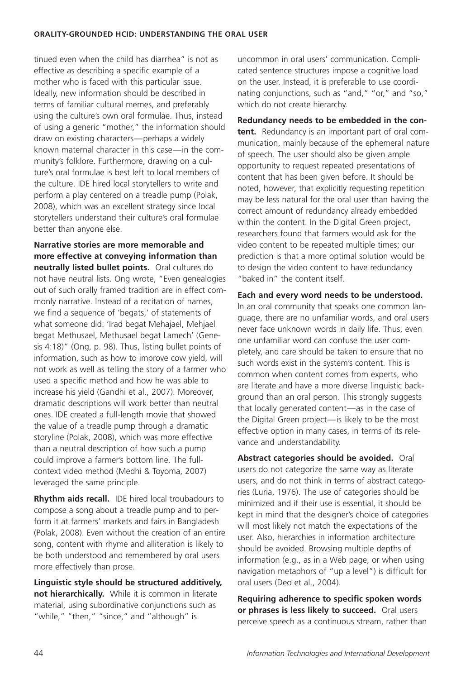#### **ORALITY-GROUNDED HCID: UNDERSTANDING THE ORAL USER**

tinued even when the child has diarrhea" is not as effective as describing a specific example of a mother who is faced with this particular issue. Ideally, new information should be described in terms of familiar cultural memes, and preferably using the culture's own oral formulae. Thus, instead of using a generic "mother," the information should draw on existing characters—perhaps a widely known maternal character in this case—in the community's folklore. Furthermore, drawing on a culture's oral formulae is best left to local members of the culture. IDE hired local storytellers to write and perform a play centered on a treadle pump (Polak, 2008), which was an excellent strategy since local storytellers understand their culture's oral formulae better than anyone else.

**Narrative stories are more memorable and more effective at conveying information than neutrally listed bullet points.** Oral cultures do not have neutral lists. Ong wrote, "Even genealogies out of such orally framed tradition are in effect commonly narrative. Instead of a recitation of names, we find a sequence of 'begats,' of statements of what someone did: 'Irad begat Mehajael, Mehjael begat Methusael, Methusael begat Lamech' (Genesis 4:18)" (Ong, p. 98). Thus, listing bullet points of information, such as how to improve cow yield, will not work as well as telling the story of a farmer who used a specific method and how he was able to increase his yield (Gandhi et al., 2007). Moreover, dramatic descriptions will work better than neutral ones. IDE created a full-length movie that showed the value of a treadle pump through a dramatic storyline (Polak, 2008), which was more effective than a neutral description of how such a pump could improve a farmer's bottom line. The fullcontext video method (Medhi & Toyoma, 2007) leveraged the same principle.

**Rhythm aids recall.** IDE hired local troubadours to compose a song about a treadle pump and to perform it at farmers' markets and fairs in Bangladesh (Polak, 2008). Even without the creation of an entire song, content with rhyme and alliteration is likely to be both understood and remembered by oral users more effectively than prose.

**Linguistic style should be structured additively, not hierarchically.** While it is common in literate material, using subordinative conjunctions such as "while," "then," "since," and "although" is

uncommon in oral users' communication. Complicated sentence structures impose a cognitive load on the user. Instead, it is preferable to use coordinating conjunctions, such as "and," "or," and "so," which do not create hierarchy.

**Redundancy needs to be embedded in the content.** Redundancy is an important part of oral communication, mainly because of the ephemeral nature of speech. The user should also be given ample opportunity to request repeated presentations of content that has been given before. It should be noted, however, that explicitly requesting repetition may be less natural for the oral user than having the correct amount of redundancy already embedded within the content. In the Digital Green project, researchers found that farmers would ask for the video content to be repeated multiple times; our prediction is that a more optimal solution would be to design the video content to have redundancy "baked in" the content itself.

**Each and every word needs to be understood.** In an oral community that speaks one common language, there are no unfamiliar words, and oral users never face unknown words in daily life. Thus, even one unfamiliar word can confuse the user completely, and care should be taken to ensure that no such words exist in the system's content. This is common when content comes from experts, who are literate and have a more diverse linguistic background than an oral person. This strongly suggests that locally generated content—as in the case of the Digital Green project—is likely to be the most effective option in many cases, in terms of its relevance and understandability.

**Abstract categories should be avoided.** Oral users do not categorize the same way as literate users, and do not think in terms of abstract categories (Luria, 1976). The use of categories should be minimized and if their use is essential, it should be kept in mind that the designer's choice of categories will most likely not match the expectations of the user. Also, hierarchies in information architecture should be avoided. Browsing multiple depths of information (e.g., as in a Web page, or when using navigation metaphors of "up a level") is difficult for oral users (Deo et al., 2004).

**Requiring adherence to specific spoken words or phrases is less likely to succeed.** Oral users perceive speech as a continuous stream, rather than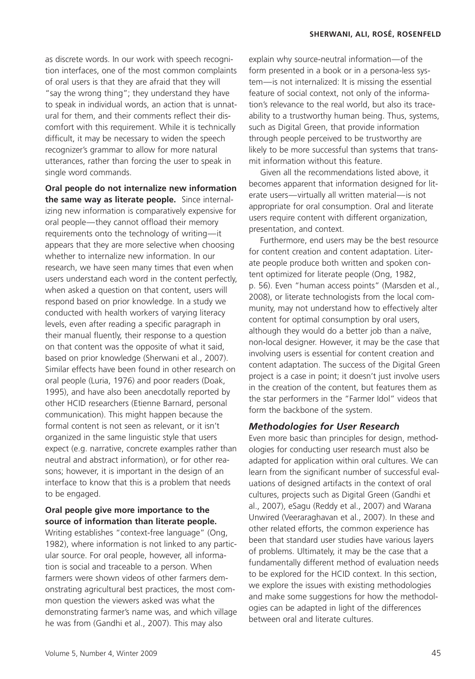as discrete words. In our work with speech recognition interfaces, one of the most common complaints of oral users is that they are afraid that they will "say the wrong thing"; they understand they have to speak in individual words, an action that is unnatural for them, and their comments reflect their discomfort with this requirement. While it is technically difficult, it may be necessary to widen the speech recognizer's grammar to allow for more natural utterances, rather than forcing the user to speak in single word commands.

**Oral people do not internalize new information the same way as literate people.** Since internalizing new information is comparatively expensive for oral people—they cannot offload their memory requirements onto the technology of writing—it appears that they are more selective when choosing whether to internalize new information. In our research, we have seen many times that even when users understand each word in the content perfectly, when asked a question on that content, users will respond based on prior knowledge. In a study we conducted with health workers of varying literacy levels, even after reading a specific paragraph in their manual fluently, their response to a question on that content was the opposite of what it said, based on prior knowledge (Sherwani et al., 2007). Similar effects have been found in other research on oral people (Luria, 1976) and poor readers (Doak, 1995), and have also been anecdotally reported by other HCID researchers (Etienne Barnard, personal communication). This might happen because the formal content is not seen as relevant, or it isn't organized in the same linguistic style that users expect (e.g. narrative, concrete examples rather than neutral and abstract information), or for other reasons; however, it is important in the design of an interface to know that this is a problem that needs to be engaged.

# **Oral people give more importance to the source of information than literate people.**

Writing establishes "context-free language" (Ong, 1982), where information is not linked to any particular source. For oral people, however, all information is social and traceable to a person. When farmers were shown videos of other farmers demonstrating agricultural best practices, the most common question the viewers asked was what the demonstrating farmer's name was, and which village he was from (Gandhi et al., 2007). This may also

explain why source-neutral information—of the form presented in a book or in a persona-less system—is not internalized: It is missing the essential feature of social context, not only of the information's relevance to the real world, but also its traceability to a trustworthy human being. Thus, systems, such as Digital Green, that provide information through people perceived to be trustworthy are likely to be more successful than systems that transmit information without this feature.

Given all the recommendations listed above, it becomes apparent that information designed for literate users—virtually all written material—is not appropriate for oral consumption. Oral and literate users require content with different organization, presentation, and context.

Furthermore, end users may be the best resource for content creation and content adaptation. Literate people produce both written and spoken content optimized for literate people (Ong, 1982, p. 56). Even "human access points" (Marsden et al., 2008), or literate technologists from the local community, may not understand how to effectively alter content for optimal consumption by oral users, although they would do a better job than a naïve, non-local designer. However, it may be the case that involving users is essential for content creation and content adaptation. The success of the Digital Green project is a case in point; it doesn't just involve users in the creation of the content, but features them as the star performers in the "Farmer Idol" videos that form the backbone of the system.

#### *Methodologies for User Research*

Even more basic than principles for design, methodologies for conducting user research must also be adapted for application within oral cultures. We can learn from the significant number of successful evaluations of designed artifacts in the context of oral cultures, projects such as Digital Green (Gandhi et al., 2007), eSagu (Reddy et al., 2007) and Warana Unwired (Veeraraghavan et al., 2007). In these and other related efforts, the common experience has been that standard user studies have various layers of problems. Ultimately, it may be the case that a fundamentally different method of evaluation needs to be explored for the HCID context. In this section, we explore the issues with existing methodologies and make some suggestions for how the methodologies can be adapted in light of the differences between oral and literate cultures.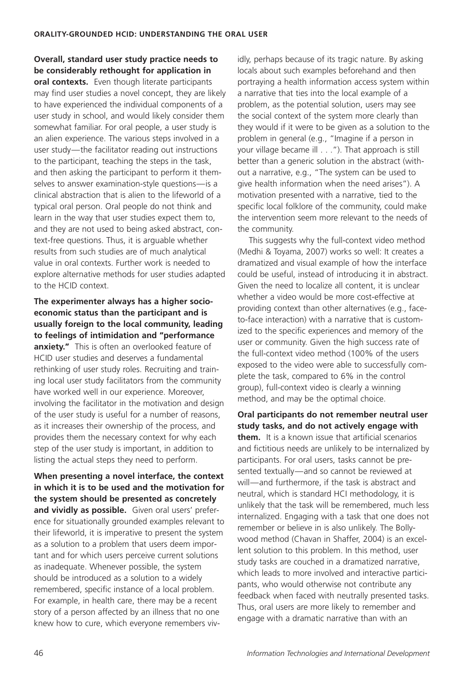**Overall, standard user study practice needs to be considerably rethought for application in oral contexts.** Even though literate participants may find user studies a novel concept, they are likely to have experienced the individual components of a user study in school, and would likely consider them somewhat familiar. For oral people, a user study is an alien experience. The various steps involved in a user study—the facilitator reading out instructions to the participant, teaching the steps in the task, and then asking the participant to perform it themselves to answer examination-style questions—is a clinical abstraction that is alien to the lifeworld of a typical oral person. Oral people do not think and learn in the way that user studies expect them to, and they are not used to being asked abstract, context-free questions. Thus, it is arguable whether results from such studies are of much analytical value in oral contexts. Further work is needed to explore alternative methods for user studies adapted to the HCID context.

**The experimenter always has a higher socioeconomic status than the participant and is usually foreign to the local community, leading to feelings of intimidation and "performance anxiety."** This is often an overlooked feature of HCID user studies and deserves a fundamental rethinking of user study roles. Recruiting and training local user study facilitators from the community have worked well in our experience. Moreover, involving the facilitator in the motivation and design of the user study is useful for a number of reasons, as it increases their ownership of the process, and provides them the necessary context for why each step of the user study is important, in addition to listing the actual steps they need to perform.

**When presenting a novel interface, the context in which it is to be used and the motivation for the system should be presented as concretely and vividly as possible.** Given oral users' preference for situationally grounded examples relevant to their lifeworld, it is imperative to present the system as a solution to a problem that users deem important and for which users perceive current solutions as inadequate. Whenever possible, the system should be introduced as a solution to a widely remembered, specific instance of a local problem. For example, in health care, there may be a recent story of a person affected by an illness that no one knew how to cure, which everyone remembers vividly, perhaps because of its tragic nature. By asking locals about such examples beforehand and then portraying a health information access system within a narrative that ties into the local example of a problem, as the potential solution, users may see the social context of the system more clearly than they would if it were to be given as a solution to the problem in general (e.g., "Imagine if a person in your village became ill . . . "). That approach is still better than a generic solution in the abstract (without a narrative, e.g., "The system can be used to give health information when the need arises"). A motivation presented with a narrative, tied to the specific local folklore of the community, could make the intervention seem more relevant to the needs of the community.

This suggests why the full-context video method (Medhi & Toyama, 2007) works so well: It creates a dramatized and visual example of how the interface could be useful, instead of introducing it in abstract. Given the need to localize all content, it is unclear whether a video would be more cost-effective at providing context than other alternatives (e.g., faceto-face interaction) with a narrative that is customized to the specific experiences and memory of the user or community. Given the high success rate of the full-context video method (100% of the users exposed to the video were able to successfully complete the task, compared to 6% in the control group), full-context video is clearly a winning method, and may be the optimal choice.

**Oral participants do not remember neutral user study tasks, and do not actively engage with them.** It is a known issue that artificial scenarios and fictitious needs are unlikely to be internalized by participants. For oral users, tasks cannot be presented textually—and so cannot be reviewed at will—and furthermore, if the task is abstract and neutral, which is standard HCI methodology, it is unlikely that the task will be remembered, much less internalized. Engaging with a task that one does not remember or believe in is also unlikely. The Bollywood method (Chavan in Shaffer, 2004) is an excellent solution to this problem. In this method, user study tasks are couched in a dramatized narrative, which leads to more involved and interactive participants, who would otherwise not contribute any feedback when faced with neutrally presented tasks. Thus, oral users are more likely to remember and engage with a dramatic narrative than with an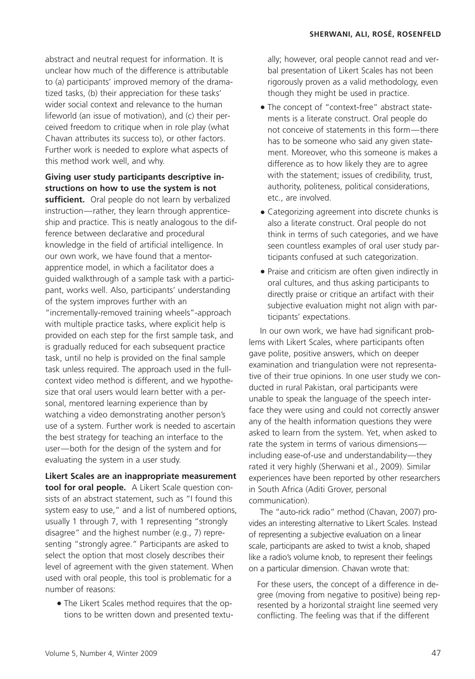abstract and neutral request for information. It is unclear how much of the difference is attributable to (a) participants' improved memory of the dramatized tasks, (b) their appreciation for these tasks' wider social context and relevance to the human lifeworld (an issue of motivation), and (c) their perceived freedom to critique when in role play (what Chavan attributes its success to), or other factors. Further work is needed to explore what aspects of this method work well, and why.

# **Giving user study participants descriptive instructions on how to use the system is not**

sufficient. Oral people do not learn by verbalized instruction—rather, they learn through apprenticeship and practice. This is neatly analogous to the difference between declarative and procedural knowledge in the field of artificial intelligence. In our own work, we have found that a mentorapprentice model, in which a facilitator does a guided walkthrough of a sample task with a participant, works well. Also, participants' understanding of the system improves further with an "incrementally-removed training wheels"-approach with multiple practice tasks, where explicit help is provided on each step for the first sample task, and is gradually reduced for each subsequent practice task, until no help is provided on the final sample task unless required. The approach used in the fullcontext video method is different, and we hypothesize that oral users would learn better with a personal, mentored learning experience than by watching a video demonstrating another person's use of a system. Further work is needed to ascertain the best strategy for teaching an interface to the user—both for the design of the system and for evaluating the system in a user study.

**Likert Scales are an inappropriate measurement tool for oral people.** A Likert Scale question consists of an abstract statement, such as "I found this system easy to use," and a list of numbered options, usually 1 through 7, with 1 representing "strongly disagree" and the highest number (e.g., 7) representing "strongly agree." Participants are asked to select the option that most closely describes their level of agreement with the given statement. When used with oral people, this tool is problematic for a number of reasons:

• The Likert Scales method requires that the options to be written down and presented textually; however, oral people cannot read and verbal presentation of Likert Scales has not been rigorously proven as a valid methodology, even though they might be used in practice.

- The concept of "context-free" abstract statements is a literate construct. Oral people do not conceive of statements in this form—there has to be someone who said any given statement. Moreover, who this someone is makes a difference as to how likely they are to agree with the statement; issues of credibility, trust, authority, politeness, political considerations, etc., are involved.
- Categorizing agreement into discrete chunks is also a literate construct. Oral people do not think in terms of such categories, and we have seen countless examples of oral user study participants confused at such categorization.
- Praise and criticism are often given indirectly in oral cultures, and thus asking participants to directly praise or critique an artifact with their subjective evaluation might not align with participants' expectations.

In our own work, we have had significant problems with Likert Scales, where participants often gave polite, positive answers, which on deeper examination and triangulation were not representative of their true opinions. In one user study we conducted in rural Pakistan, oral participants were unable to speak the language of the speech interface they were using and could not correctly answer any of the health information questions they were asked to learn from the system. Yet, when asked to rate the system in terms of various dimensions including ease-of-use and understandability—they rated it very highly (Sherwani et al., 2009). Similar experiences have been reported by other researchers in South Africa (Aditi Grover, personal communication).

The "auto-rick radio" method (Chavan, 2007) provides an interesting alternative to Likert Scales. Instead of representing a subjective evaluation on a linear scale, participants are asked to twist a knob, shaped like a radio's volume knob, to represent their feelings on a particular dimension. Chavan wrote that:

For these users, the concept of a difference in degree (moving from negative to positive) being represented by a horizontal straight line seemed very conflicting. The feeling was that if the different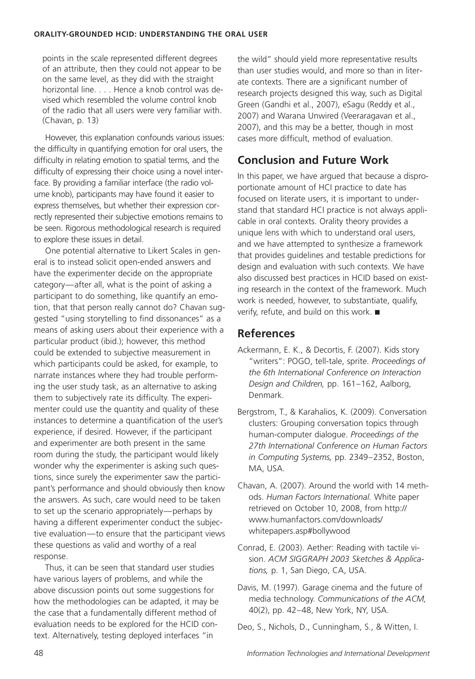points in the scale represented different degrees of an attribute, then they could not appear to be on the same level, as they did with the straight horizontal line. . . . Hence a knob control was devised which resembled the volume control knob of the radio that all users were very familiar with. (Chavan, p. 13)

However, this explanation confounds various issues: the difficulty in quantifying emotion for oral users, the difficulty in relating emotion to spatial terms, and the difficulty of expressing their choice using a novel interface. By providing a familiar interface (the radio volume knob), participants may have found it easier to express themselves, but whether their expression correctly represented their subjective emotions remains to be seen. Rigorous methodological research is required to explore these issues in detail.

One potential alternative to Likert Scales in general is to instead solicit open-ended answers and have the experimenter decide on the appropriate category—after all, what is the point of asking a participant to do something, like quantify an emotion, that that person really cannot do? Chavan suggested "using storytelling to find dissonances" as a means of asking users about their experience with a particular product (ibid.); however, this method could be extended to subjective measurement in which participants could be asked, for example, to narrate instances where they had trouble performing the user study task, as an alternative to asking them to subjectively rate its difficulty. The experimenter could use the quantity and quality of these instances to determine a quantification of the user's experience, if desired. However, if the participant and experimenter are both present in the same room during the study, the participant would likely wonder why the experimenter is asking such questions, since surely the experimenter saw the participant's performance and should obviously then know the answers. As such, care would need to be taken to set up the scenario appropriately—perhaps by having a different experimenter conduct the subjective evaluation—to ensure that the participant views these questions as valid and worthy of a real response.

Thus, it can be seen that standard user studies have various layers of problems, and while the above discussion points out some suggestions for how the methodologies can be adapted, it may be the case that a fundamentally different method of evaluation needs to be explored for the HCID context. Alternatively, testing deployed interfaces "in

the wild" should yield more representative results than user studies would, and more so than in literate contexts. There are a significant number of research projects designed this way, such as Digital Green (Gandhi et al., 2007), eSagu (Reddy et al., 2007) and Warana Unwired (Veeraragavan et al., 2007), and this may be a better, though in most cases more difficult, method of evaluation.

# **Conclusion and Future Work**

In this paper, we have argued that because a disproportionate amount of HCI practice to date has focused on literate users, it is important to understand that standard HCI practice is not always applicable in oral contexts. Orality theory provides a unique lens with which to understand oral users, and we have attempted to synthesize a framework that provides guidelines and testable predictions for design and evaluation with such contexts. We have also discussed best practices in HCID based on existing research in the context of the framework. Much work is needed, however, to substantiate, qualify, verify, refute, and build on this work. ■

# **References**

- Ackermann, E. K., & Decortis, F. (2007). Kids story "writers": POGO, tell-tale, sprite. *Proceedings of the 6th International Conference on Interaction Design and Children,* pp. 161–162, Aalborg, Denmark.
- Bergstrom, T., & Karahalios, K. (2009). Conversation clusters: Grouping conversation topics through human-computer dialogue. *Proceedings of the 27th International Conference on Human Factors in Computing Systems,* pp. 2349–2352, Boston, MA, USA.
- Chavan, A. (2007). Around the world with 14 methods. *Human Factors International.* White paper retrieved on October 10, 2008, from http:// www.humanfactors.com/downloads/ whitepapers.asp#bollywood
- Conrad, E. (2003). Aether: Reading with tactile vision. *ACM SIGGRAPH 2003 Sketches & Applications,* p. 1, San Diego, CA, USA.
- Davis, M. (1997). Garage cinema and the future of media technology. *Communications of the ACM,* 40(2), pp. 42–48, New York, NY, USA.
- Deo, S., Nichols, D., Cunningham, S., & Witten, I.